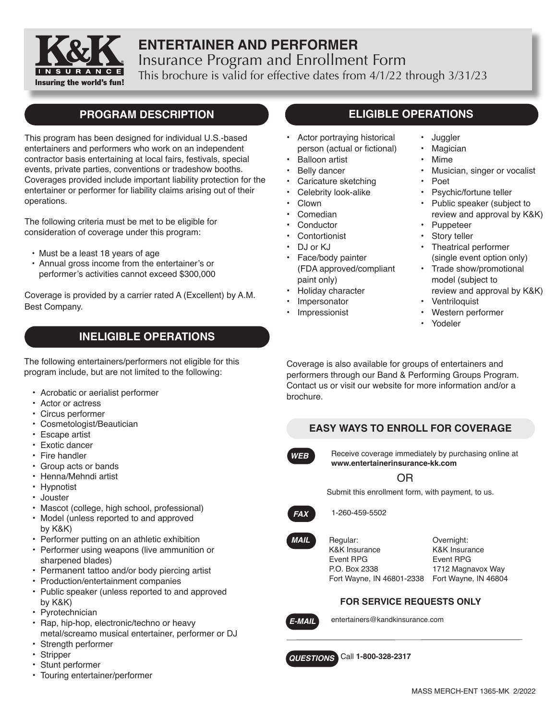

# **ENTERTAINER AND PERFORMER** Insurance Program and Enrollment Form This brochure is valid for effective dates from 4/1/22 through 3/31/23

# **PROGRAM DESCRIPTION**

This program has been designed for individual U.S.-based entertainers and performers who work on an independent contractor basis entertaining at local fairs, festivals, special events, private parties, conventions or tradeshow booths. Coverages provided include important liability protection for the entertainer or performer for liability claims arising out of their operations.

The following criteria must be met to be eligible for consideration of coverage under this program:

- Must be a least 18 years of age
- • Annual gross income from the entertainer's or performer's activities cannot exceed \$300,000

Coverage is provided by a carrier rated A (Excellent) by A.M. Best Company.

# **INELIGIBLE OPERATIONS**

The following entertainers/performers not eligible for this program include, but are not limited to the following:

- Acrobatic or aerialist performer
- Actor or actress
- Circus performer
- Cosmetologist/Beautician
- Escape artist
- Exotic dancer
- Fire handler
- Group acts or bands
- Henna/Mehndi artist
- Hypnotist
- Jouster
- Mascot (college, high school, professional)
- Model (unless reported to and approved by K&K)
- Performer putting on an athletic exhibition
- Performer using weapons (live ammunition or sharpened blades)
- Permanent tattoo and/or body piercing artist
- Production/entertainment companies
- Public speaker (unless reported to and approved by K&K)
- Pyrotechnician
- Rap, hip-hop, electronic/techno or heavy metal/screamo musical entertainer, performer or DJ
- Strength performer
- Stripper
- Stunt performer
- Touring entertainer/performer

# **ELIGIBLE OPERATIONS**

- Actor portraying historical person (actual or fictional)
- Balloon artist
- **Belly dancer**
- Caricature sketching
- Celebrity look-alike
- Clown
- Comedian
- **Conductor**
- **Contortionist**
- DJ or KJ
- Face/body painter (FDA approved/compliant paint only)
- Holiday character
- **Impersonator**
- **Impressionist**
- Juggler
- **Magician**
- Mime
- Musician, singer or vocalist
- Poet
- Psychic/fortune teller
- Public speaker (subject to review and approval by K&K)
- Puppeteer
- Story teller • Theatrical performer
- (single event option only) • Trade show/promotional
- model (subject to review and approval by K&K)
- **Ventriloquist**
- Western performer
- Yodeler

Coverage is also available for groups of entertainers and performers through our Band & Performing Groups Program. Contact us or visit our website for more information and/or a brochure.

### **EASY WAYS TO ENROLL FOR COVERAGE**



Receive coverage immediately by purchasing online at **www.entertainerinsurance-kk.com**

OR

Submit this enrollment form, with payment, to us.



*MAIL*

1-260-459-5502

Regular: K&K Insurance Event RPG P.O. Box 2338 Fort Wayne, IN 46801-2338 Fort Wayne, IN 46804

Overnight: K&K Insurance Event RPG 1712 Magnavox Way

### **FOR SERVICE REQUESTS ONLY**



entertainers@kandkinsurance.com

**QUESTIONS** Call 1-800-328-2317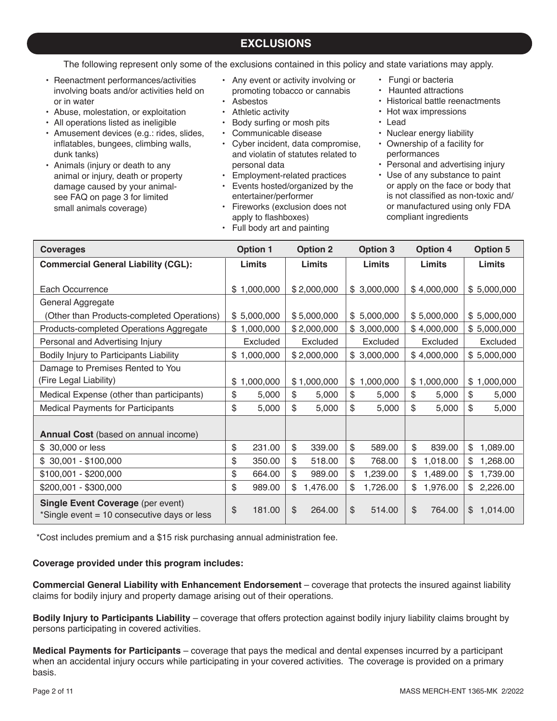## **EXCLUSIONS**

The following represent only some of the exclusions contained in this policy and state variations may apply.

- Reenactment performances/activities involving boats and/or activities held on or in water
- • Abuse, molestation, or exploitation
- All operations listed as ineligible
- Amusement devices (e.g.: rides, slides, inflatables, bungees, climbing walls, dunk tanks)
- Animals (injury or death to any animal or injury, death or property damage caused by your animal- see FAQ on page 3 for limited small animals coverage)
- Any event or activity involving or promoting tobacco or cannabis • Asbestos
- Athletic activity
- • Body surfing or mosh pits
- Communicable disease
- Cyber incident, data compromise, and violatin of statutes related to personal data
- Employment-related practices • Events hosted/organized by the
- entertainer/performer • Fireworks (exclusion does not
- apply to flashboxes)
- Full body art and painting
- Fungi or bacteria
- Haunted attractions
- Historical battle reenactments
- Hot wax impressions
- Lead
- Nuclear energy liability
- Ownership of a facility for performances
- Personal and advertising injury
- Use of any substance to paint or apply on the face or body that is not classified as non-toxic and/ or manufactured using only FDA compliant ingredients

| <b>Coverages</b>                                                                        | <b>Option 1</b> | <b>Option 2</b>         | <b>Option 3</b> | <b>Option 4</b> | <b>Option 5</b>          |
|-----------------------------------------------------------------------------------------|-----------------|-------------------------|-----------------|-----------------|--------------------------|
| <b>Commercial General Liability (CGL):</b>                                              | Limits          | Limits                  | Limits          | Limits          | Limits                   |
|                                                                                         |                 |                         |                 |                 |                          |
| Each Occurrence                                                                         | \$1,000,000     | \$2,000,000             | \$3,000,000     | \$4,000,000     | \$5,000,000              |
| General Aggregate                                                                       |                 |                         |                 |                 |                          |
| (Other than Products-completed Operations)                                              | \$5,000,000     | \$5,000,000             | \$5,000,000     | \$5,000,000     | \$5,000,000              |
| Products-completed Operations Aggregate                                                 | \$1,000,000     | \$2,000,000             | \$3,000,000     | \$4,000,000     | \$5,000,000              |
| Personal and Advertising Injury                                                         | Excluded        | Excluded                | Excluded        | Excluded        | Excluded                 |
| Bodily Injury to Participants Liability                                                 | \$1,000,000     | \$2,000,000             | \$3,000,000     | \$4,000,000     | \$5,000,000              |
| Damage to Premises Rented to You                                                        |                 |                         |                 |                 |                          |
| (Fire Legal Liability)                                                                  | \$1,000,000     | \$1,000,000             | \$1,000,000     | \$1,000,000     | \$1,000,000              |
| Medical Expense (other than participants)                                               | \$<br>5,000     | \$<br>5,000             | \$<br>5,000     | \$<br>5,000     | \$<br>5,000              |
| <b>Medical Payments for Participants</b>                                                | \$<br>5,000     | \$<br>5,000             | \$<br>5,000     | \$<br>5,000     | \$<br>5,000              |
|                                                                                         |                 |                         |                 |                 |                          |
| <b>Annual Cost</b> (based on annual income)                                             |                 |                         |                 |                 |                          |
| \$ 30,000 or less                                                                       | \$<br>231.00    | \$<br>339.00            | \$<br>589.00    | \$<br>839.00    | \$<br>1,089.00           |
| $$30,001 - $100,000$                                                                    | \$<br>350.00    | \$<br>518.00            | \$<br>768.00    | \$<br>1,018.00  | \$<br>1,268.00           |
| \$100,001 - \$200,000                                                                   | \$<br>664.00    | \$<br>989.00            | \$<br>1,239.00  | \$<br>1,489.00  | \$<br>1,739.00           |
| \$200,001 - \$300,000                                                                   | \$<br>989.00    | \$<br>1,476.00          | 1,726.00<br>\$  | \$<br>1,976.00  | 2,226.00<br>\$           |
| <b>Single Event Coverage (per event)</b><br>*Single event = 10 consecutive days or less | \$<br>181.00    | $\mathcal{S}$<br>264.00 | \$<br>514.00    | \$<br>764.00    | $\mathbb{S}$<br>1,014.00 |

\*Cost includes premium and a \$15 risk purchasing annual administration fee.

#### **Coverage provided under this program includes:**

**Commercial General Liability with Enhancement Endorsement** – coverage that protects the insured against liability claims for bodily injury and property damage arising out of their operations.

**Bodily Injury to Participants Liability** – coverage that offers protection against bodily injury liability claims brought by persons participating in covered activities.

**Medical Payments for Participants** – coverage that pays the medical and dental expenses incurred by a participant when an accidental injury occurs while participating in your covered activities. The coverage is provided on a primary basis.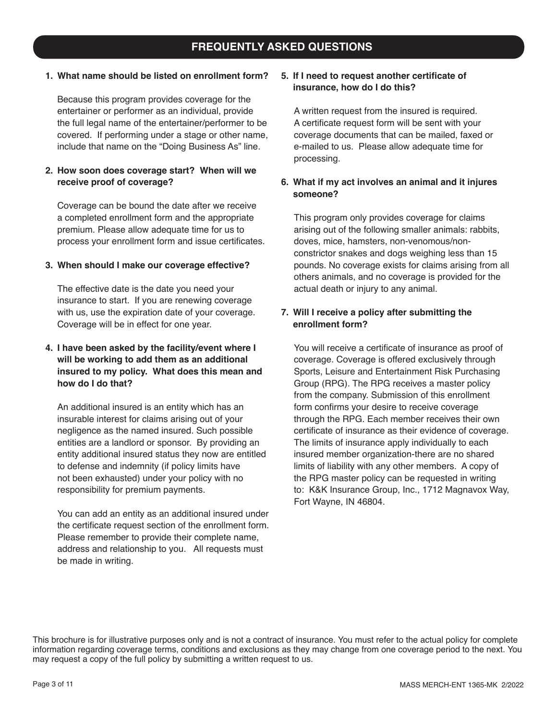# **FREQUENTLY ASKED QUESTIONS**

### **1. What name should be listed on enrollment form?**

Because this program provides coverage for the entertainer or performer as an individual, provide the full legal name of the entertainer/performer to be covered. If performing under a stage or other name, include that name on the "Doing Business As" line.

### **2. How soon does coverage start? When will we receive proof of coverage?**

Coverage can be bound the date after we receive a completed enrollment form and the appropriate premium. Please allow adequate time for us to process your enrollment form and issue certificates.

#### **3. When should I make our coverage effective?**

The effective date is the date you need your insurance to start. If you are renewing coverage with us, use the expiration date of your coverage. Coverage will be in effect for one year.

### **4. I have been asked by the facility/event where I will be working to add them as an additional insured to my policy. What does this mean and how do I do that?**

An additional insured is an entity which has an insurable interest for claims arising out of your negligence as the named insured. Such possible entities are a landlord or sponsor. By providing an entity additional insured status they now are entitled to defense and indemnity (if policy limits have not been exhausted) under your policy with no responsibility for premium payments.

You can add an entity as an additional insured under the certificate request section of the enrollment form. Please remember to provide their complete name, address and relationship to you. All requests must be made in writing.

#### **5. If I need to request another certificate of insurance, how do I do this?**

A written request from the insured is required. A certificate request form will be sent with your coverage documents that can be mailed, faxed or e-mailed to us. Please allow adequate time for processing.

### **6. What if my act involves an animal and it injures someone?**

This program only provides coverage for claims arising out of the following smaller animals: rabbits, doves, mice, hamsters, non-venomous/nonconstrictor snakes and dogs weighing less than 15 pounds. No coverage exists for claims arising from all others animals, and no coverage is provided for the actual death or injury to any animal.

### **7. Will I receive a policy after submitting the enrollment form?**

You will receive a certificate of insurance as proof of coverage. Coverage is offered exclusively through Sports, Leisure and Entertainment Risk Purchasing Group (RPG). The RPG receives a master policy from the company. Submission of this enrollment form confirms your desire to receive coverage through the RPG. Each member receives their own certificate of insurance as their evidence of coverage. The limits of insurance apply individually to each insured member organization-there are no shared limits of liability with any other members. A copy of the RPG master policy can be requested in writing to: K&K Insurance Group, Inc., 1712 Magnavox Way, Fort Wayne, IN 46804.

This brochure is for illustrative purposes only and is not a contract of insurance. You must refer to the actual policy for complete information regarding coverage terms, conditions and exclusions as they may change from one coverage period to the next. You may request a copy of the full policy by submitting a written request to us.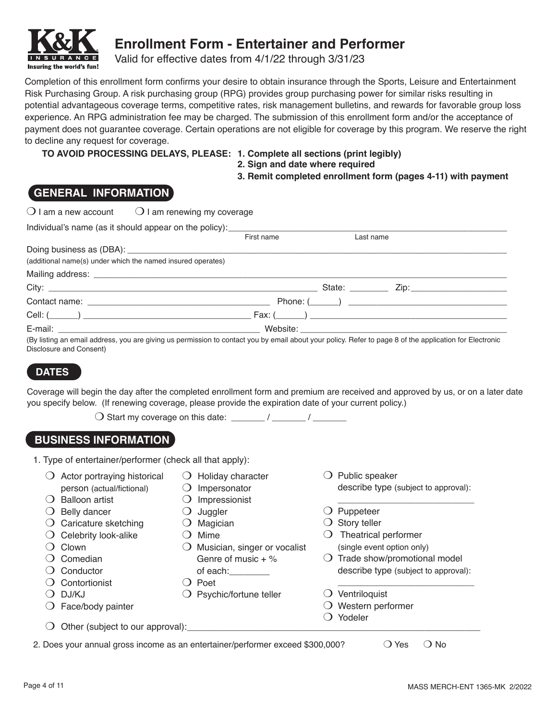

# **Enrollment Form - Entertainer and Performer**

Valid for effective dates from 4/1/22 through 3/31/23

Completion of this enrollment form confirms your desire to obtain insurance through the Sports, Leisure and Entertainment Risk Purchasing Group. A risk purchasing group (RPG) provides group purchasing power for similar risks resulting in potential advantageous coverage terms, competitive rates, risk management bulletins, and rewards for favorable group loss experience. An RPG administration fee may be charged. The submission of this enrollment form and/or the acceptance of payment does not guarantee coverage. Certain operations are not eligible for coverage by this program. We reserve the right to decline any request for coverage.

**TO AVOID PROCESSING DELAYS, PLEASE: 1. Complete all sections (print legibly)** 

- **2. Sign and date where required**
- **3. Remit completed enrollment form (pages 4-11) with payment**

### **GENERAL INFORMATION**

| $\bigcirc$ I am a new account $\bigcirc$ I am renewing my coverage               |            |           |                                                                                                                                                         |
|----------------------------------------------------------------------------------|------------|-----------|---------------------------------------------------------------------------------------------------------------------------------------------------------|
| Individual's name (as it should appear on the policy): _________________________ |            |           |                                                                                                                                                         |
|                                                                                  | First name | Last name |                                                                                                                                                         |
|                                                                                  |            |           |                                                                                                                                                         |
| (additional name(s) under which the named insured operates)                      |            |           |                                                                                                                                                         |
|                                                                                  |            |           |                                                                                                                                                         |
|                                                                                  |            |           |                                                                                                                                                         |
|                                                                                  |            |           |                                                                                                                                                         |
|                                                                                  |            |           |                                                                                                                                                         |
|                                                                                  |            |           |                                                                                                                                                         |
|                                                                                  |            |           | (By listing an email address, you are giving us permission to contact you by email about your policy. Refer to page 8 of the application for Electronic |

s, you are giving us permission to contact you by email about your policy. Hefer to page 8 of the application for Electronic Disclosure and Consent)

### **DATES**

Coverage will begin the day after the completed enrollment form and premium are received and approved by us, or on a later date you specify below. (If renewing coverage, please provide the expiration date of your current policy.)

| $\bigcirc$ Start my coverage on this date: |  |  |
|--------------------------------------------|--|--|
|                                            |  |  |

### **BUSINESS INFORMATION**

- 1. Type of entertainer/performer (check all that apply):
	- $\bigcirc$  Actor portraying historical person (actual/fictional)  $\bigcirc$  Holiday character  $\bigcirc$  Impersonator
	- $\bigcirc$  Balloon artist  $\bigcirc$  Impressionist
	- $\bigcirc$  Belly dancer
	- $\bigcirc$  Caricature sketching
	- $\bigcirc$  Celebrity look-alike
	- $\bigcirc$  Clown
	- $\bigcirc$  Comedian
	- $\bigcirc$  Conductor
	- $\bigcirc$  Contortionist
	- $O$  DJ/KJ
	-
- $\bigcirc$  Mime  $\bigcirc$  Musician, singer or vocalist

 $\bigcirc$  Juggler  $\bigcirc$  Magician

- Genre of music  $+$  % of each:
- $\bigcirc$  Poet
- $\bigcirc$  Psychic/fortune teller
- $\bigcirc$  Face/body painter
- $\bigcirc$  Other (subject to our approval):

 $\bigcirc$  Public speaker describe type (subject to approval):

\_\_\_\_\_\_\_\_\_\_\_\_\_\_\_\_\_\_\_\_\_\_\_\_\_\_\_\_\_\_

- $\bigcirc$  Puppeteer
- $\bigcirc$  Story teller
- $\bigcirc$  Theatrical performer (single event option only)
- $\bigcirc$  Trade show/promotional model describe type (subject to approval):

\_\_\_\_\_\_\_\_\_\_\_\_\_\_\_\_\_\_\_\_\_\_\_\_\_\_\_\_\_\_

- $\bigcirc$  Ventriloquist
- $\bigcirc$  Western performer
- $\bigcirc$  Yodeler

2. Does your annual gross income as an entertainer/performer exceed \$300,000?  $\Box$  Yes  $\Box$  No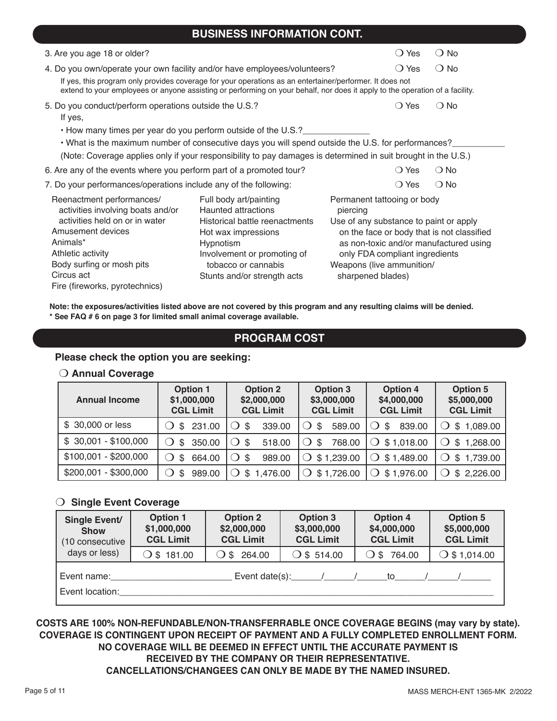### **BUSINESS INFORMATION CONT.**

| 3. Are you age 18 or older?                                                                                                                                                                                                              | ◯ Yes                                                 | $\bigcirc$ No                          |               |  |  |  |
|------------------------------------------------------------------------------------------------------------------------------------------------------------------------------------------------------------------------------------------|-------------------------------------------------------|----------------------------------------|---------------|--|--|--|
| 4. Do you own/operate your own facility and/or have employees/volunteers?                                                                                                                                                                |                                                       | $\bigcirc$ Yes                         | $\bigcirc$ No |  |  |  |
| If yes, this program only provides coverage for your operations as an entertainer/performer. It does not<br>extend to your employees or anyone assisting or performing on your behalf, nor does it apply to the operation of a facility. |                                                       |                                        |               |  |  |  |
| 5. Do you conduct/perform operations outside the U.S.?                                                                                                                                                                                   |                                                       | $\bigcirc$ Yes                         | $\bigcirc$ No |  |  |  |
| If yes,                                                                                                                                                                                                                                  |                                                       |                                        |               |  |  |  |
| • How many times per year do you perform outside of the U.S.?                                                                                                                                                                            |                                                       |                                        |               |  |  |  |
| • What is the maximum number of consecutive days you will spend outside the U.S. for performances?                                                                                                                                       |                                                       |                                        |               |  |  |  |
| (Note: Coverage applies only if your responsibility to pay damages is determined in suit brought in the U.S.)                                                                                                                            |                                                       |                                        |               |  |  |  |
| $\bigcirc$ No<br>6. Are any of the events where you perform part of a promoted tour?<br>$\bigcirc$ Yes                                                                                                                                   |                                                       |                                        |               |  |  |  |
| 7. Do your performances/operations include any of the following:                                                                                                                                                                         |                                                       | $\bigcirc$ Yes                         | $\bigcirc$ No |  |  |  |
| Reenactment performances/                                                                                                                                                                                                                | Full body art/painting                                | Permanent tattooing or body            |               |  |  |  |
| activities involving boats and/or                                                                                                                                                                                                        | <b>Haunted attractions</b>                            | piercing                               |               |  |  |  |
| activities held on or in water                                                                                                                                                                                                           | Historical battle reenactments<br>Hot wax impressions | Use of any substance to paint or apply |               |  |  |  |
| Amusement devices                                                                                                                                                                                                                        | on the face or body that is not classified            |                                        |               |  |  |  |
| Animals*                                                                                                                                                                                                                                 | Hypnotism                                             | as non-toxic and/or manufactured using |               |  |  |  |
| Athletic activity                                                                                                                                                                                                                        | Involvement or promoting of                           | only FDA compliant ingredients         |               |  |  |  |
| Body surfing or mosh pits                                                                                                                                                                                                                | tobacco or cannabis                                   | Weapons (live ammunition/              |               |  |  |  |
| Circus act                                                                                                                                                                                                                               | Stunts and/or strength acts                           | sharpened blades)                      |               |  |  |  |
| Fire (fireworks, pyrotechnics)                                                                                                                                                                                                           |                                                       |                                        |               |  |  |  |

**Note: the exposures/activities listed above are not covered by this program and any resulting claims will be denied. \* See FAQ # 6 on page 3 for limited small animal coverage available.**

### **PROGRAM COST**

### **Please check the option you are seeking:**

#### **O** Annual Coverage

| <b>Annual Income</b>  | <b>Option 1</b><br>\$1,000,000<br><b>CGL Limit</b> | <b>Option 2</b><br>\$2,000,000<br><b>CGL Limit</b> | <b>Option 3</b><br>\$3,000,000<br><b>CGL Limit</b> | <b>Option 4</b><br>\$4,000,000<br><b>CGL Limit</b> | <b>Option 5</b><br>\$5,000,000<br><b>CGL Limit</b> |
|-----------------------|----------------------------------------------------|----------------------------------------------------|----------------------------------------------------|----------------------------------------------------|----------------------------------------------------|
| \$ 30,000 or less     | 231.00<br>\$                                       | 339.00<br>$\bigcirc$ s                             | 589.00<br>\$                                       | 839.00<br>-S                                       | \$1,089.00                                         |
| $$30,001 - $100,000$  | 350.00<br>\$.                                      | 518.00<br>$\circ$ s                                | 768.00<br>\$                                       | \$1,018.00                                         | \$1,268.00                                         |
| $$100,001 - $200,000$ | 664.00<br>-S                                       | 989.00<br>$\circ$ s                                | \$1,239.00                                         | \$1,489.00                                         | \$1,739.00                                         |
| \$200,001 - \$300,000 | 989.00                                             | \$1,476.00                                         | $\bigcirc$ \$ 1,726.00                             | \$1,976.00                                         | \$2,226.00                                         |

### O Single Event Coverage

| Single Event/<br><b>Show</b><br>(10 consecutive | <b>Option 1</b><br>\$1,000,000<br><b>CGL Limit</b> | <b>Option 2</b><br>\$2,000,000<br><b>CGL Limit</b> | <b>Option 3</b><br>\$3,000,000<br><b>CGL Limit</b> | <b>Option 4</b><br>\$4,000,000<br><b>CGL Limit</b> | <b>Option 5</b><br>\$5,000,000<br><b>CGL Limit</b> |
|-------------------------------------------------|----------------------------------------------------|----------------------------------------------------|----------------------------------------------------|----------------------------------------------------|----------------------------------------------------|
| days or less)                                   | $\bigcirc$ \$ 181.00                               | $\bigcirc$ \$ 264.00                               | $\bigcirc$ \$ 514.00                               | $O$ \$ 764.00                                      | $\bigcirc$ \$ 1,014.00                             |
| Event name:<br>Event location:                  |                                                    |                                                    | Event date(s): $\frac{1}{2}$                       | to                                                 |                                                    |

**COSTS ARE 100% NON-REFUNDABLE/NON-TRANSFERRABLE ONCE COVERAGE BEGINS (may vary by state). COVERAGE IS CONTINGENT UPON RECEIPT OF PAYMENT AND A FULLY COMPLETED ENROLLMENT FORM. NO COVERAGE WILL BE DEEMED IN EFFECT UNTIL THE ACCURATE PAYMENT IS RECEIVED BY THE COMPANY OR THEIR REPRESENTATIVE. CANCELLATIONS/CHANGEES CAN ONLY BE MADE BY THE NAMED INSURED.**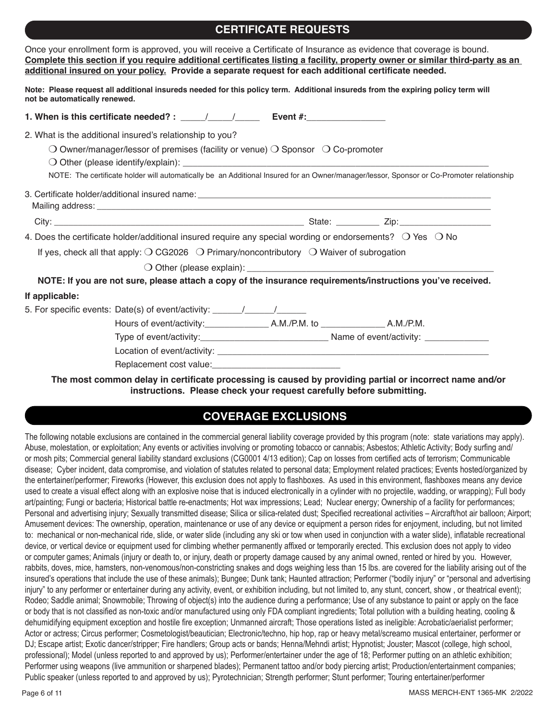### **CERTIFICATE REQUESTS**

| Once your enrollment form is approved, you will receive a Certificate of Insurance as evidence that coverage is bound.<br>Complete this section if you require additional certificates listing a facility, property owner or similar third-party as an<br>additional insured on your policy. Provide a separate request for each additional certificate needed. |
|-----------------------------------------------------------------------------------------------------------------------------------------------------------------------------------------------------------------------------------------------------------------------------------------------------------------------------------------------------------------|
| Note: Please request all additional insureds needed for this policy term. Additional insureds from the expiring policy term will<br>not be automatically renewed.                                                                                                                                                                                               |
|                                                                                                                                                                                                                                                                                                                                                                 |
| 2. What is the additional insured's relationship to you?                                                                                                                                                                                                                                                                                                        |
| $\bigcirc$ Owner/manager/lessor of premises (facility or venue) $\bigcirc$ Sponsor $\bigcirc$ Co-promoter                                                                                                                                                                                                                                                       |
| NOTE: The certificate holder will automatically be an Additional Insured for an Owner/manager/lessor, Sponsor or Co-Promoter relationship                                                                                                                                                                                                                       |
|                                                                                                                                                                                                                                                                                                                                                                 |
|                                                                                                                                                                                                                                                                                                                                                                 |
| 4. Does the certificate holder/additional insured require any special wording or endorsements? O Yes O No                                                                                                                                                                                                                                                       |
| If yes, check all that apply: $\bigcirc$ CG2026 $\bigcirc$ Primary/noncontributory $\bigcirc$ Waiver of subrogation                                                                                                                                                                                                                                             |
|                                                                                                                                                                                                                                                                                                                                                                 |
| NOTE: If you are not sure, please attach a copy of the insurance requirements/instructions you've received.                                                                                                                                                                                                                                                     |
| If applicable:                                                                                                                                                                                                                                                                                                                                                  |
| 5. For specific events: Date(s) of event/activity: _____________________________                                                                                                                                                                                                                                                                                |
|                                                                                                                                                                                                                                                                                                                                                                 |
|                                                                                                                                                                                                                                                                                                                                                                 |
|                                                                                                                                                                                                                                                                                                                                                                 |
|                                                                                                                                                                                                                                                                                                                                                                 |

**The most common delay in certificate processing is caused by providing partial or incorrect name and/or instructions. Please check your request carefully before submitting.**

### **COVERAGE EXCLUSIONS**

The following notable exclusions are contained in the commercial general liability coverage provided by this program (note: state variations may apply). Abuse, molestation, or exploitation; Any events or activities involving or promoting tobacco or cannabis; Asbestos; Athletic Activity; Body surfing and/ or mosh pits; Commercial general liability standard exclusions (CG0001 4/13 edition); Cap on losses from certified acts of terrorism; Communicable disease; Cyber incident, data compromise, and violation of statutes related to personal data; Employment related practices; Events hosted/organized by the entertainer/performer; Fireworks (However, this exclusion does not apply to flashboxes. As used in this environment, flashboxes means any device used to create a visual effect along with an explosive noise that is induced electronically in a cylinder with no projectile, wadding, or wrapping); Full body art/painting; Fungi or bacteria; Historical battle re-enactments; Hot wax impressions; Lead; Nuclear energy; Ownership of a facility for performances; Personal and advertising injury; Sexually transmitted disease; Silica or silica-related dust; Specified recreational activities – Aircraft/hot air balloon; Airport; Amusement devices: The ownership, operation, maintenance or use of any device or equipment a person rides for enjoyment, including, but not limited to: mechanical or non-mechanical ride, slide, or water slide (including any ski or tow when used in conjunction with a water slide), inflatable recreational device, or vertical device or equipment used for climbing whether permanently affixed or temporarily erected. This exclusion does not apply to video or computer games; Animals (injury or death to, or injury, death or property damage caused by any animal owned, rented or hired by you. However, rabbits, doves, mice, hamsters, non-venomous/non-constricting snakes and dogs weighing less than 15 lbs. are covered for the liability arising out of the insured's operations that include the use of these animals); Bungee; Dunk tank; Haunted attraction; Performer ("bodily injury" or "personal and advertising injury" to any performer or entertainer during any activity, event, or exhibition including, but not limited to, any stunt, concert, show, or theatrical event); Rodeo; Saddle animal; Snowmobile; Throwing of object(s) into the audience during a performance; Use of any substance to paint or apply on the face or body that is not classified as non-toxic and/or manufactured using only FDA compliant ingredients; Total pollution with a building heating, cooling & dehumidifving equipment exception and hostile fire exception; Unmanned aircraft; Those operations listed as ineligible: Acrobatic/aerialist performer; Actor or actress; Circus performer; Cosmetologist/beautician; Electronic/techno, hip hop, rap or heavy metal/screamo musical entertainer, performer or DJ; Escape artist; Exotic dancer/stripper; Fire handlers; Group acts or bands; Henna/Mehndi artist; Hypnotist; Jouster; Mascot (college, high school, professional); Model (unless reported to and approved by us); Performer/entertainer under the age of 18; Performer putting on an athletic exhibition; Performer using weapons (live ammunition or sharpened blades); Permanent tattoo and/or body piercing artist; Production/entertainment companies; Public speaker (unless reported to and approved by us); Pyrotechnician; Strength performer; Stunt performer; Touring entertainer/performer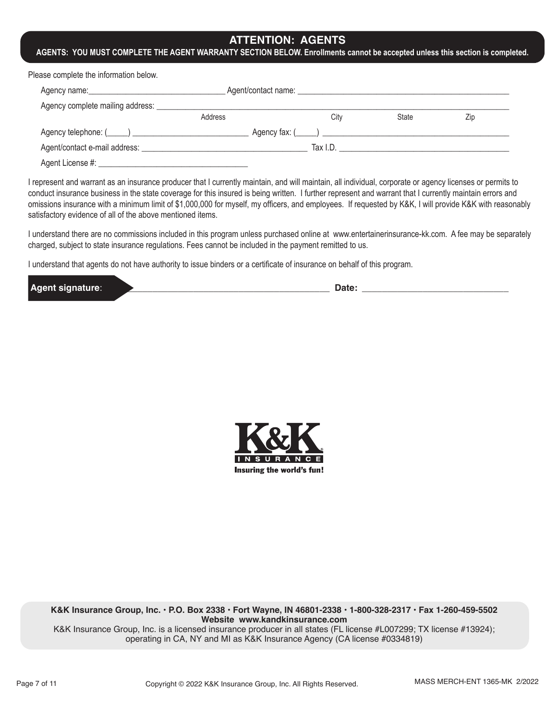### **ATTENTION: AGENTS**

#### **AGENTS: YOU MUST COMPLETE THE AGENT WARRANTY SECTION BELOW. Enrollments cannot be accepted unless this section is completed.**

Please complete the information below.

|                                  |         | Agent/contact name: _______ |           |                                   |     |
|----------------------------------|---------|-----------------------------|-----------|-----------------------------------|-----|
| Agency complete mailing address: |         |                             |           |                                   |     |
|                                  | Address |                             | City      | State                             | Zip |
|                                  |         |                             |           | $\angle$ Agency fax: $(\_\_\_\_)$ |     |
| Agent/contact e-mail address:    |         |                             | Tax $LD.$ |                                   |     |
| Agent License #: _               |         |                             |           |                                   |     |

I represent and warrant as an insurance producer that I currently maintain, and will maintain, all individual, corporate or agency licenses or permits to conduct insurance business in the state coverage for this insured is being written. I further represent and warrant that I currently maintain errors and omissions insurance with a minimum limit of \$1,000,000 for myself, my officers, and employees. If requested by K&K, I will provide K&K with reasonably satisfactory evidence of all of the above mentioned items.

I understand there are no commissions included in this program unless purchased online at www.entertainerinsurance-kk.com. A fee may be separately charged, subject to state insurance regulations. Fees cannot be included in the payment remitted to us.

I understand that agents do not have authority to issue binders or a certificate of insurance on behalf of this program.

| IΛ.<br>., | -- |  |
|-----------|----|--|
|           |    |  |



**K&K Insurance Group, Inc. • P.O. Box 2338 • Fort Wayne, IN 46801-2338 • 1-800-328-2317 • Fax 1-260-459-5502 Website www.kandkinsurance.com**

K&K Insurance Group, Inc. is a licensed insurance producer in all states (FL license #L007299; TX license #13924); operating in CA, NY and MI as K&K Insurance Agency (CA license #0334819)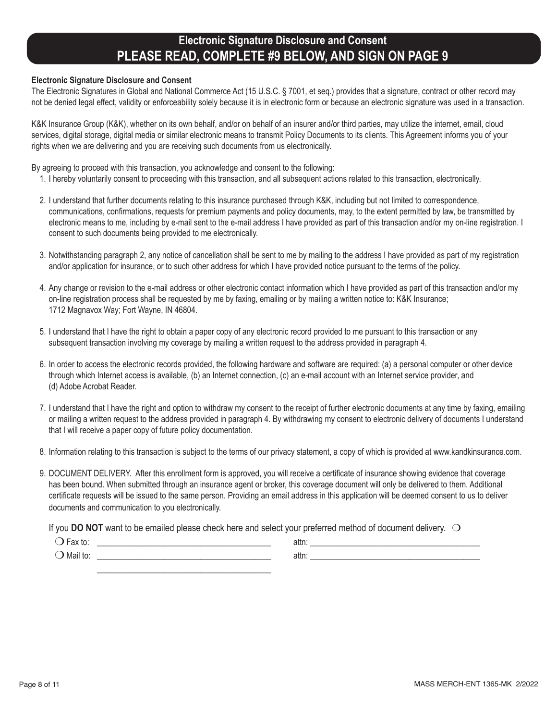# **Electronic Signature Disclosure and Consent PLEASE READ, COMPLETE #9 BELOW, AND SIGN ON PAGE 9**

#### **Electronic Signature Disclosure and Consent**

The Electronic Signatures in Global and National Commerce Act (15 U.S.C. § 7001, et seq.) provides that a signature, contract or other record may not be denied legal effect, validity or enforceability solely because it is in electronic form or because an electronic signature was used in a transaction.

K&K Insurance Group (K&K), whether on its own behalf, and/or on behalf of an insurer and/or third parties, may utilize the internet, email, cloud services, digital storage, digital media or similar electronic means to transmit Policy Documents to its clients. This Agreement informs you of your rights when we are delivering and you are receiving such documents from us electronically.

By agreeing to proceed with this transaction, you acknowledge and consent to the following:

- 1. I hereby voluntarily consent to proceeding with this transaction, and all subsequent actions related to this transaction, electronically.
- 2. I understand that further documents relating to this insurance purchased through K&K, including but not limited to correspondence, communications, confirmations, requests for premium payments and policy documents, may, to the extent permitted by law, be transmitted by electronic means to me, including by e-mail sent to the e-mail address I have provided as part of this transaction and/or my on-line registration. I consent to such documents being provided to me electronically.
- 3. Notwithstanding paragraph 2, any notice of cancellation shall be sent to me by mailing to the address I have provided as part of my registration and/or application for insurance, or to such other address for which I have provided notice pursuant to the terms of the policy.
- 4. Any change or revision to the e-mail address or other electronic contact information which I have provided as part of this transaction and/or my on-line registration process shall be requested by me by faxing, emailing or by mailing a written notice to: K&K Insurance; 1712 Magnavox Way; Fort Wayne, IN 46804.
- 5. I understand that I have the right to obtain a paper copy of any electronic record provided to me pursuant to this transaction or any subsequent transaction involving my coverage by mailing a written request to the address provided in paragraph 4.
- 6. In order to access the electronic records provided, the following hardware and software are required: (a) a personal computer or other device through which Internet access is available, (b) an Internet connection, (c) an e-mail account with an Internet service provider, and (d) Adobe Acrobat Reader.
- 7. I understand that I have the right and option to withdraw my consent to the receipt of further electronic documents at any time by faxing, emailing or mailing a written request to the address provided in paragraph 4. By withdrawing my consent to electronic delivery of documents I understand that I will receive a paper copy of future policy documentation.
- 8. Information relating to this transaction is subject to the terms of our privacy statement, a copy of which is provided at www.kandkinsurance.com.
- 9. DOCUMENT DELIVERY. After this enrollment form is approved, you will receive a certificate of insurance showing evidence that coverage has been bound. When submitted through an insurance agent or broker, this coverage document will only be delivered to them. Additional certificate requests will be issued to the same person. Providing an email address in this application will be deemed consent to us to deliver documents and communication to you electronically.

If you **DO NOT** want to be emailed please check here and select your preferred method of document delivery.  $\bigcirc$ 

| Mail to: | attn: |  |
|----------|-------|--|
|          |       |  |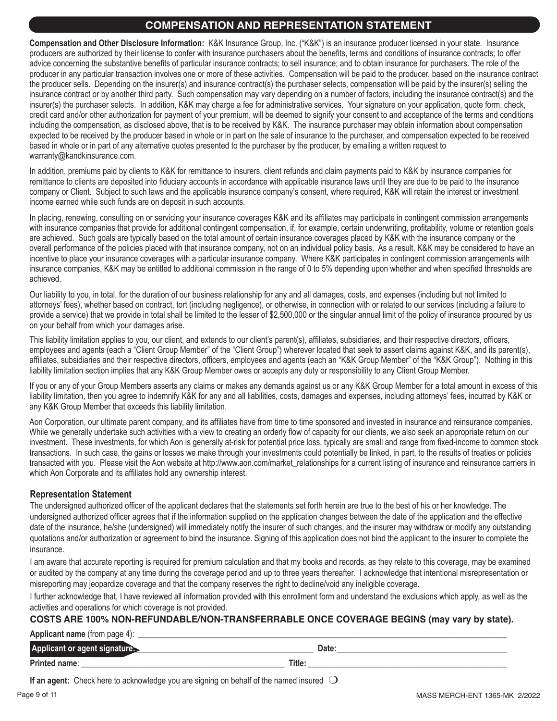### **COMPENSATION AND REPRESENTATION STATEMENT**

**Compensation and Other Disclosure Information:** K&K Insurance Group, Inc. ("K&K") is an insurance producer licensed in your state. Insurance producers are authorized by their license to confer with insurance purchasers about the benefits, terms and conditions of insurance contracts; to offer advice concerning the substantive benefits of particular insurance contracts; to sell insurance; and to obtain insurance for purchasers. The role of the producer in any particular transaction involves one or more of these activities. Compensation will be paid to the producer, based on the insurance contract the producer sells. Depending on the insurer(s) and insurance contract(s) the purchaser selects, compensation will be paid by the insurer(s) selling the insurance contract or by another third party. Such compensation may vary depending on a number of factors, including the insurance contract(s) and the insurer(s) the purchaser selects. In addition, K&K may charge a fee for administrative services. Your signature on your application, quote form, check, credit card and/or other authorization for payment of your premium, will be deemed to signify your consent to and acceptance of the terms and conditions including the compensation, as disclosed above, that is to be received by K&K. The insurance purchaser may obtain information about compensation expected to be received by the producer based in whole or in part on the sale of insurance to the purchaser, and compensation expected to be received based in whole or in part of any alternative quotes presented to the purchaser by the producer, by emailing a written request to warranty@kandkinsurance.com.

In addition, premiums paid by clients to K&K for remittance to insurers, client refunds and claim payments paid to K&K by insurance companies for remittance to clients are deposited into fiduciary accounts in accordance with applicable insurance laws until they are due to be paid to the insurance company or Client. Subject to such laws and the applicable insurance company's consent, where required, K&K will retain the interest or investment income earned while such funds are on deposit in such accounts.

In placing, renewing, consulting on or servicing your insurance coverages K&K and its affiliates may participate in contingent commission arrangements with insurance companies that provide for additional contingent compensation, if, for example, certain underwriting, profitability, volume or retention goals are achieved. Such goals are typically based on the total amount of certain insurance coverages placed by K&K with the insurance company or the overall performance of the policies placed with that insurance company, not on an individual policy basis. As a result, K&K may be considered to have an incentive to place your insurance coverages with a particular insurance company. Where K&K participates in contingent commission arrangements with insurance companies, K&K may be entitled to additional commission in the range of 0 to 5% depending upon whether and when specified thresholds are achieved.

Our liability to you, in total, for the duration of our business relationship for any and all damages, costs, and expenses (including but not limited to attorneys' fees), whether based on contract, tort (including negligence), or otherwise, in connection with or related to our services (including a failure to provide a service) that we provide in total shall be limited to the lesser of \$2,500,000 or the singular annual limit of the policy of insurance procured by us on your behalf from which your damages arise.

This liability limitation applies to you, our client, and extends to our client's parent(s), affiliates, subsidiaries, and their respective directors, officers, employees and agents (each a "Client Group Member" of the "Client Group") wherever located that seek to assert claims against K&K, and its parent(s), affiliates, subsidiaries and their respective directors, officers, employees and agents (each an "K&K Group Member" of the "K&K Group"). Nothing in this liability limitation section implies that any K&K Group Member owes or accepts any duty or responsibility to any Client Group Member.

If you or any of your Group Members asserts any claims or makes any demands against us or any K&K Group Member for a total amount in excess of this liability limitation, then you agree to indemnify K&K for any and all liabilities, costs, damages and expenses, including attorneys' fees, incurred by K&K or any K&K Group Member that exceeds this liability limitation.

Aon Corporation, our ultimate parent company, and its affiliates have from time to time sponsored and invested in insurance and reinsurance companies. While we generally undertake such activities with a view to creating an orderly flow of capacity for our clients, we also seek an appropriate return on our investment. These investments, for which Aon is generally at-risk for potential price loss, typically are small and range from fixed-income to common stock transactions. In such case, the gains or losses we make through your investments could potentially be linked, in part, to the results of treaties or policies transacted with you. Please visit the Aon website at http://www.aon.com/market\_relationships for a current listing of insurance and reinsurance carriers in which Aon Corporate and its affiliates hold any ownership interest.

### **Representation Statement**

The undersigned authorized officer of the applicant declares that the statements set forth herein are true to the best of his or her knowledge. The undersigned authorized officer agrees that if the information supplied on the application changes between the date of the application and the effective date of the insurance, he/she (undersigned) will immediately notify the insurer of such changes, and the insurer may withdraw or modify any outstanding quotations and/or authorization or agreement to bind the insurance. Signing of this application does not bind the applicant to the insurer to complete the insurance.

I am aware that accurate reporting is required for premium calculation and that my books and records, as they relate to this coverage, may be examined or audited by the company at any time during the coverage period and up to three years thereafter. I acknowledge that intentional misrepresentation or misreporting may jeopardize coverage and that the company reserves the right to decline/void any ineligible coverage.

I further acknowledge that, I have reviewed all information provided with this enrollment form and understand the exclusions which apply, as well as the activities and operations for which coverage is not provided.

### **COSTS ARE 100% NON-REFUNDABLE/NON-TRANSFERRABLE ONCE COVERAGE BEGINS (may vary by state).**

**Applicant name** (from page 4):

| 711<br>ш                         |        | Date: |
|----------------------------------|--------|-------|
| <b>Printo</b><br>name:<br>______ | Title: |       |

**If an agent:** Check here to acknowledge you are signing on behalf of the named insured  $\bigcirc$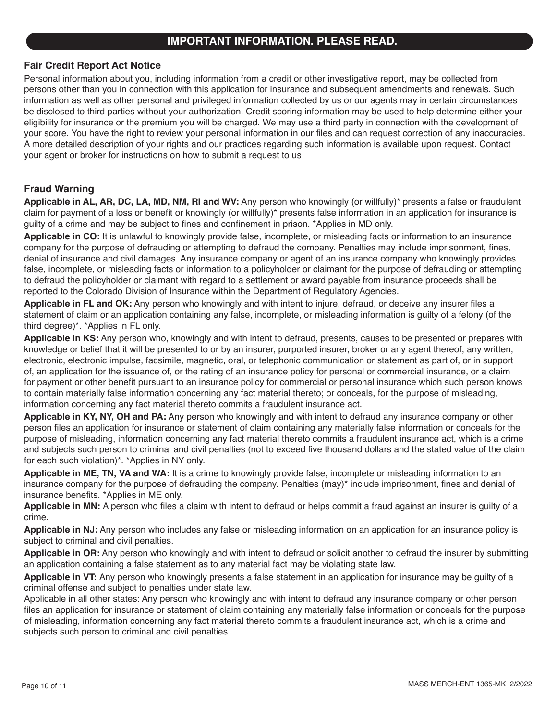### **IMPORTANT INFORMATION. PLEASE READ.**

### **Fair Credit Report Act Notice**

Personal information about you, including information from a credit or other investigative report, may be collected from persons other than you in connection with this application for insurance and subsequent amendments and renewals. Such information as well as other personal and privileged information collected by us or our agents may in certain circumstances be disclosed to third parties without your authorization. Credit scoring information may be used to help determine either your eligibility for insurance or the premium you will be charged. We may use a third party in connection with the development of your score. You have the right to review your personal information in our files and can request correction of any inaccuracies. A more detailed description of your rights and our practices regarding such information is available upon request. Contact your agent or broker for instructions on how to submit a request to us

### **Fraud Warning**

**Applicable in AL, AR, DC, LA, MD, NM, RI and WV:** Any person who knowingly (or willfully)\* presents a false or fraudulent claim for payment of a loss or benefit or knowingly (or willfully)\* presents false information in an application for insurance is guilty of a crime and may be subject to fines and confinement in prison. \*Applies in MD only.

**Applicable in CO:** It is unlawful to knowingly provide false, incomplete, or misleading facts or information to an insurance company for the purpose of defrauding or attempting to defraud the company. Penalties may include imprisonment, fines, denial of insurance and civil damages. Any insurance company or agent of an insurance company who knowingly provides false, incomplete, or misleading facts or information to a policyholder or claimant for the purpose of defrauding or attempting to defraud the policyholder or claimant with regard to a settlement or award payable from insurance proceeds shall be reported to the Colorado Division of Insurance within the Department of Regulatory Agencies.

**Applicable in FL and OK:** Any person who knowingly and with intent to injure, defraud, or deceive any insurer files a statement of claim or an application containing any false, incomplete, or misleading information is guilty of a felony (of the third degree)\*. \*Applies in FL only.

**Applicable in KS:** Any person who, knowingly and with intent to defraud, presents, causes to be presented or prepares with knowledge or belief that it will be presented to or by an insurer, purported insurer, broker or any agent thereof, any written, electronic, electronic impulse, facsimile, magnetic, oral, or telephonic communication or statement as part of, or in support of, an application for the issuance of, or the rating of an insurance policy for personal or commercial insurance, or a claim for payment or other benefit pursuant to an insurance policy for commercial or personal insurance which such person knows to contain materially false information concerning any fact material thereto; or conceals, for the purpose of misleading, information concerning any fact material thereto commits a fraudulent insurance act.

**Applicable in KY, NY, OH and PA:** Any person who knowingly and with intent to defraud any insurance company or other person files an application for insurance or statement of claim containing any materially false information or conceals for the purpose of misleading, information concerning any fact material thereto commits a fraudulent insurance act, which is a crime and subjects such person to criminal and civil penalties (not to exceed five thousand dollars and the stated value of the claim for each such violation)\*. \*Applies in NY only.

**Applicable in ME, TN, VA and WA:** It is a crime to knowingly provide false, incomplete or misleading information to an insurance company for the purpose of defrauding the company. Penalties (may)\* include imprisonment, fines and denial of insurance benefits. \*Applies in ME only.

**Applicable in MN:** A person who files a claim with intent to defraud or helps commit a fraud against an insurer is guilty of a crime.

**Applicable in NJ:** Any person who includes any false or misleading information on an application for an insurance policy is subject to criminal and civil penalties.

**Applicable in OR:** Any person who knowingly and with intent to defraud or solicit another to defraud the insurer by submitting an application containing a false statement as to any material fact may be violating state law.

**Applicable in VT:** Any person who knowingly presents a false statement in an application for insurance may be guilty of a criminal offense and subject to penalties under state law.

Applicable in all other states: Any person who knowingly and with intent to defraud any insurance company or other person files an application for insurance or statement of claim containing any materially false information or conceals for the purpose of misleading, information concerning any fact material thereto commits a fraudulent insurance act, which is a crime and subjects such person to criminal and civil penalties.